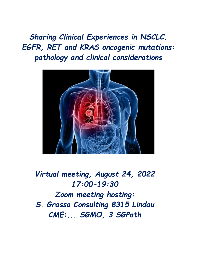*Sharing Clinical Experiences in NSCLC. EGFR, RET and KRAS oncogenic mutations: pathology and clinical considerations*



*Virtual meeting, August 24, 2022 17:00-19:30 Zoom meeting hosting: S. Grasso Consulting 8315 Lindau CME:... SGMO, 3 SGPath*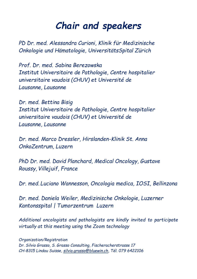## *Chair and speakers*

*PD Dr. med. Alessandra Curioni, Klinik für Medizinische Onkologie und Hämatologie, UniversitätsSpital Zürich*

*Prof. Dr. med. Sabina Berezowska Institut Universitaire de Pathologie, Centre hospitalier universitaire vaudois (CHUV) et Université de Lausanne, Lausanne*

*Dr. med. Bettina Bisig Institut Universitaire de Pathologie, Centre hospitalier universitaire vaudois (CHUV) et Université de Lausanne, Lausanne*

*Dr. med. Marco Dressler, Hirslanden-Klinik St. Anna OnkoZentrum, Luzern*

*PhD Dr. med. David Planchard, Medical Oncology, Gustave Roussy, Villejuif, France* 

*Dr. med. Luciano Wannesson, Oncologia medica, IOSI, Bellinzona*

*Dr. med. Daniela Weiler, Medizinische Onkologie, Luzerner Kantonsspital | Tumorzentrum Luzern* 

*Additional oncologists and pathologists are kindly invited to participate virtually at this meeting using the Zoom technology*

*Organization/Registration Dr. Silvio Grasso, S. Grasso Consulting, Fischeracherstrasse 17 CH-8315 Lindau Suisse, [silvio.grasso@bluewin.ch,](mailto:silvio.grasso@bluewin.ch) Tél. 079 6422106*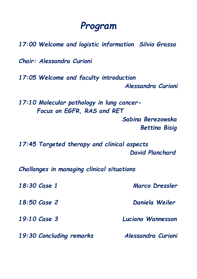## *Program*

*17:00 Welcome and logistic information Silvio Grasso*

*Chair: Alessandra Curioni*

*17:05 Welcome and faculty introduction Alessandra Curioni*

*17:10 Molecular pathology in lung cancer- Focus on EGFR, RAS and RET*

> *Sabina Berezowska Bettina Bisig*

*17:45 Targeted therapy and clinical aspects* *David Planchard*

*Challanges in managing clinical situations*

| 18:30 Case 1<br>$18:50$ Case 2<br>19:10 Case 3 | Marco Dressler<br>Daniela Weiler<br>Luciano Wannesson |                          |                    |
|------------------------------------------------|-------------------------------------------------------|--------------------------|--------------------|
|                                                |                                                       | 19:30 Concluding remarks | Alessandra Curioni |